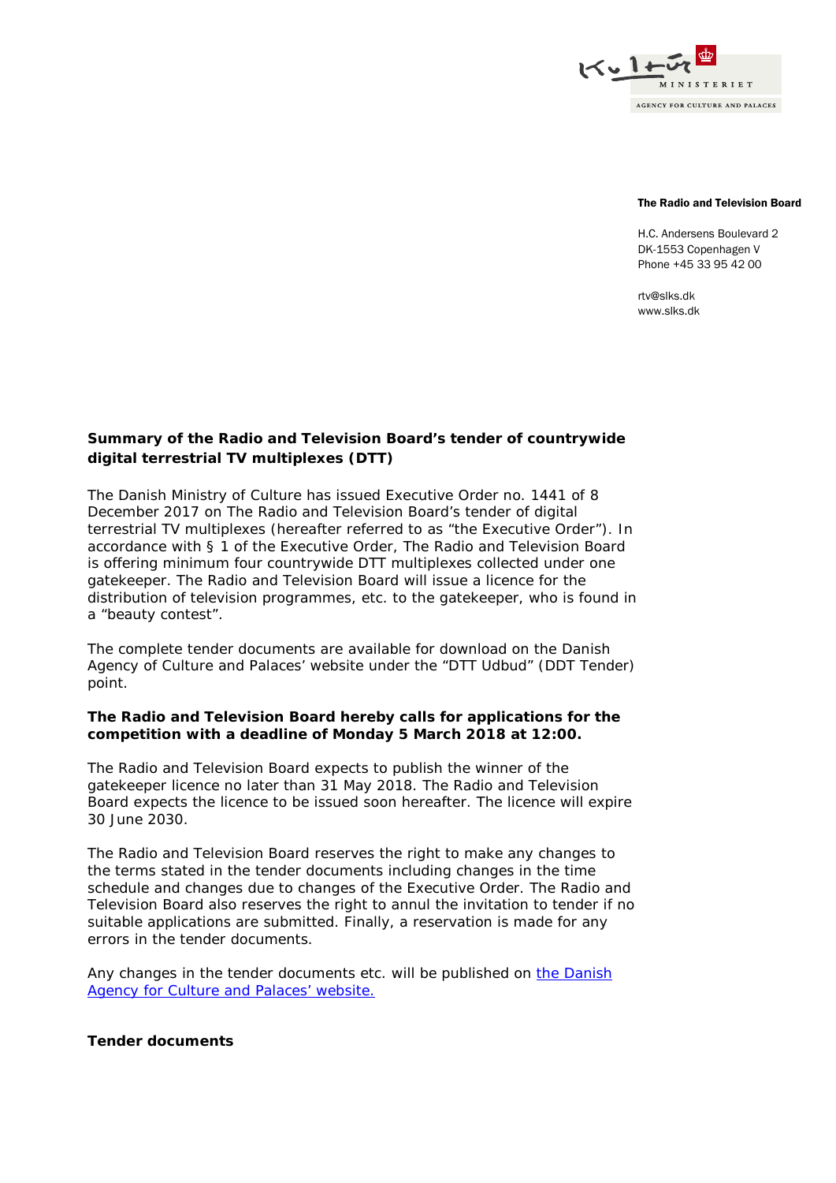

#### The Radio and Television Board

H.C. Andersens Boulevard 2 DK-1553 Copenhagen V Phone +45 33 95 42 00

rtv@slks.dk www.slks.dk

# **Summary of the Radio and Television Board's tender of countrywide digital terrestrial TV multiplexes (DTT)**

The Danish Ministry of Culture has issued Executive Order no. 1441 of 8 December 2017 on The Radio and Television Board's tender of digital terrestrial TV multiplexes (hereafter referred to as "the Executive Order"). In accordance with § 1 of the Executive Order, The Radio and Television Board is offering minimum four countrywide DTT multiplexes collected under one gatekeeper. The Radio and Television Board will issue a licence for the distribution of television programmes, etc. to the gatekeeper, who is found in a "beauty contest".

The complete tender documents are available for download on the Danish Agency of Culture and Palaces' website under the "DTT Udbud" (DDT Tender) point.

### **The Radio and Television Board hereby calls for applications for the competition with a deadline of Monday 5 March 2018 at 12:00.**

The Radio and Television Board expects to publish the winner of the gatekeeper licence no later than 31 May 2018. The Radio and Television Board expects the licence to be issued soon hereafter. The licence will expire 30 June 2030.

The Radio and Television Board reserves the right to make any changes to the terms stated in the tender documents including changes in the time schedule and changes due to changes of the Executive Order. The Radio and Television Board also reserves the right to annul the invitation to tender if no suitable applications are submitted. Finally, a reservation is made for any errors in the tender documents.

Any changes in the tender documents etc. will be published on the Danish [Agency for Culture and Palaces'](https://slks.dk/index.php?id=35807) website.

## **Tender documents**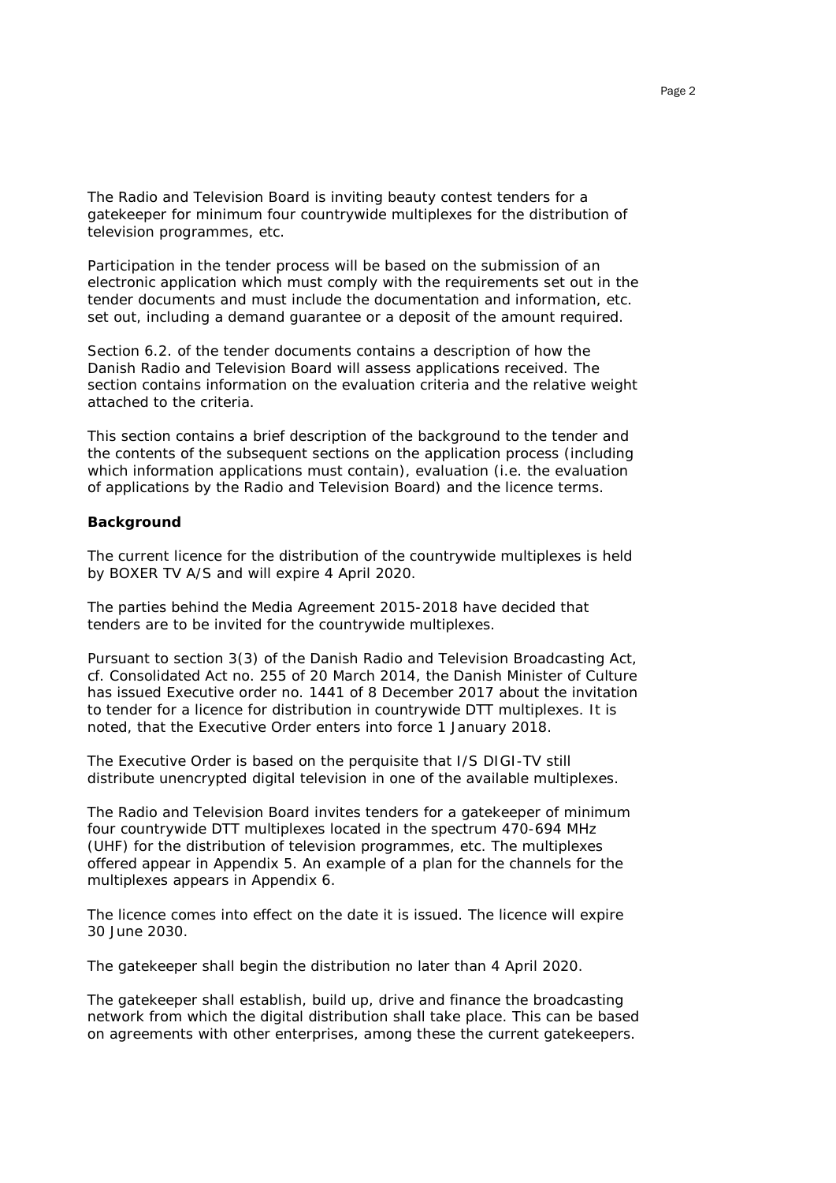The Radio and Television Board is inviting beauty contest tenders for a gatekeeper for minimum four countrywide multiplexes for the distribution of television programmes, etc.

Participation in the tender process will be based on the submission of an electronic application which must comply with the requirements set out in the tender documents and must include the documentation and information, etc. set out, including a demand guarantee or a deposit of the amount required.

Section 6.2. of the tender documents contains a description of how the Danish Radio and Television Board will assess applications received. The section contains information on the evaluation criteria and the relative weight attached to the criteria.

This section contains a brief description of the background to the tender and the contents of the subsequent sections on the application process (including which information applications must contain), evaluation (i.e. the evaluation of applications by the Radio and Television Board) and the licence terms.

#### **Background**

The current licence for the distribution of the countrywide multiplexes is held by BOXER TV A/S and will expire 4 April 2020.

The parties behind the Media Agreement 2015-2018 have decided that tenders are to be invited for the countrywide multiplexes.

Pursuant to section 3(3) of the Danish Radio and Television Broadcasting Act, cf. Consolidated Act no. 255 of 20 March 2014, the Danish Minister of Culture has issued Executive order no. 1441 of 8 December 2017 about the invitation to tender for a licence for distribution in countrywide DTT multiplexes. It is noted, that the Executive Order enters into force 1 January 2018.

The Executive Order is based on the perquisite that I/S DIGI-TV still distribute unencrypted digital television in one of the available multiplexes.

The Radio and Television Board invites tenders for a gatekeeper of minimum four countrywide DTT multiplexes located in the spectrum 470-694 MHz (UHF) for the distribution of television programmes, etc. The multiplexes offered appear in Appendix 5. An example of a plan for the channels for the multiplexes appears in Appendix 6.

The licence comes into effect on the date it is issued. The licence will expire 30 June 2030.

The gatekeeper shall begin the distribution no later than 4 April 2020.

The gatekeeper shall establish, build up, drive and finance the broadcasting network from which the digital distribution shall take place. This can be based on agreements with other enterprises, among these the current gatekeepers.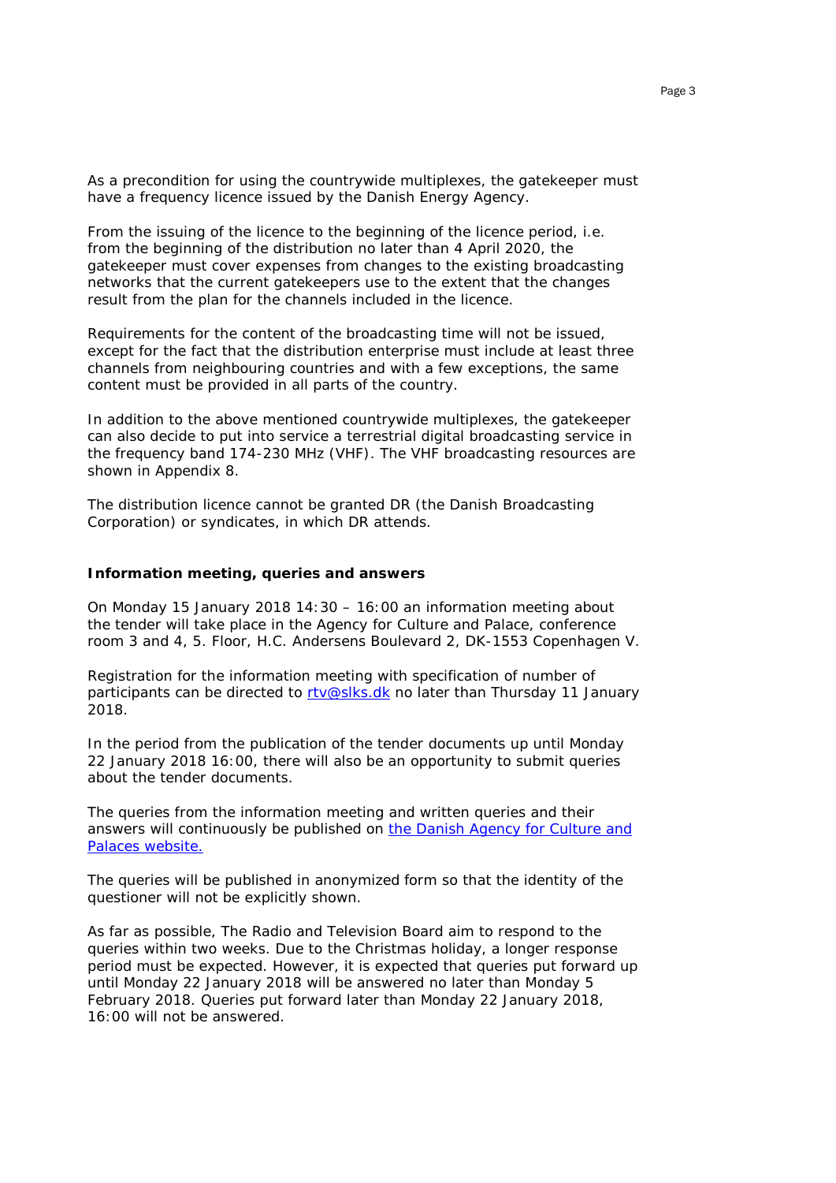As a precondition for using the countrywide multiplexes, the gatekeeper must have a frequency licence issued by the Danish Energy Agency.

From the issuing of the licence to the beginning of the licence period, i.e. from the beginning of the distribution no later than 4 April 2020, the gatekeeper must cover expenses from changes to the existing broadcasting networks that the current gatekeepers use to the extent that the changes result from the plan for the channels included in the licence.

Requirements for the content of the broadcasting time will not be issued, except for the fact that the distribution enterprise must include at least three channels from neighbouring countries and with a few exceptions, the same content must be provided in all parts of the country.

In addition to the above mentioned countrywide multiplexes, the gatekeeper can also decide to put into service a terrestrial digital broadcasting service in the frequency band 174-230 MHz (VHF). The VHF broadcasting resources are shown in Appendix 8.

The distribution licence cannot be granted DR (the Danish Broadcasting Corporation) or syndicates, in which DR attends.

#### **Information meeting, queries and answers**

On Monday 15 January 2018 14:30 – 16:00 an information meeting about the tender will take place in the Agency for Culture and Palace, conference room 3 and 4, 5. Floor, H.C. Andersens Boulevard 2, DK-1553 Copenhagen V.

Registration for the information meeting with specification of number of participants can be directed to [rtv@slks.dk](mailto:rtv@slks.dk) no later than Thursday 11 January 2018.

In the period from the publication of the tender documents up until Monday 22 January 2018 16:00, there will also be an opportunity to submit queries about the tender documents.

The queries from the information meeting and written queries and their answers will continuously be published on [the Danish Agency for Culture and](https://slks.dk/index.php?id=35807)  [Palaces website.](https://slks.dk/index.php?id=35807)

The queries will be published in anonymized form so that the identity of the questioner will not be explicitly shown.

As far as possible, The Radio and Television Board aim to respond to the queries within two weeks. Due to the Christmas holiday, a longer response period must be expected. However, it is expected that queries put forward up until Monday 22 January 2018 will be answered no later than Monday 5 February 2018. Queries put forward later than Monday 22 January 2018, 16:00 will not be answered.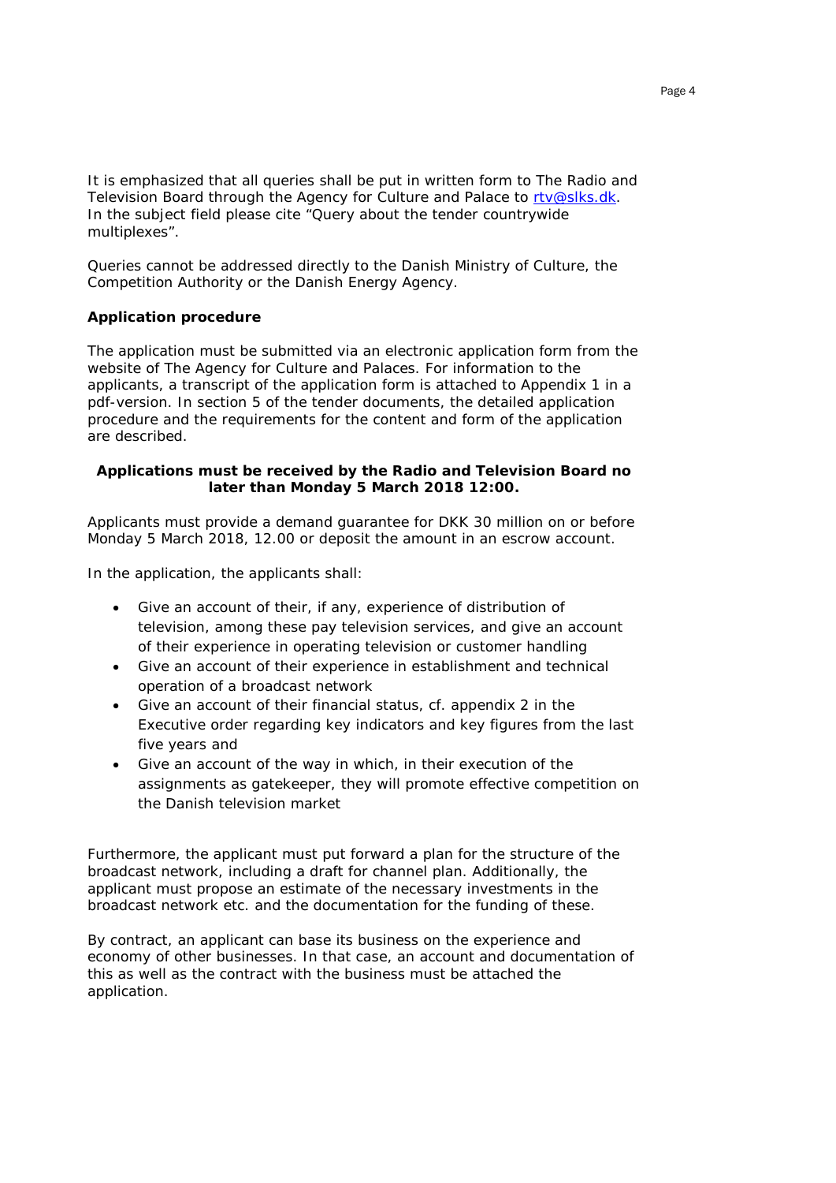It is emphasized that all queries shall be put in written form to The Radio and Television Board through the Agency for Culture and Palace to [rtv@slks.dk.](mailto:rtv@slks.dk) In the subject field please cite "Query about the tender countrywide multiplexes".

Queries cannot be addressed directly to the Danish Ministry of Culture, the Competition Authority or the Danish Energy Agency.

## **Application procedure**

The application must be submitted via an electronic application form from the website of The Agency for Culture and Palaces. For information to the applicants, a transcript of the application form is attached to Appendix 1 in a pdf-version. In section 5 of the tender documents, the detailed application procedure and the requirements for the content and form of the application are described.

### **Applications must be received by the Radio and Television Board no later than Monday 5 March 2018 12:00.**

Applicants must provide a demand guarantee for DKK 30 million on or before Monday 5 March 2018, 12.00 or deposit the amount in an escrow account.

In the application, the applicants shall:

- Give an account of their, if any, experience of distribution of television, among these pay television services, and give an account of their experience in operating television or customer handling
- Give an account of their experience in establishment and technical operation of a broadcast network
- Give an account of their financial status, cf. appendix 2 in the Executive order regarding key indicators and key figures from the last five years and
- Give an account of the way in which, in their execution of the assignments as gatekeeper, they will promote effective competition on the Danish television market

Furthermore, the applicant must put forward a plan for the structure of the broadcast network, including a draft for channel plan. Additionally, the applicant must propose an estimate of the necessary investments in the broadcast network etc. and the documentation for the funding of these.

By contract, an applicant can base its business on the experience and economy of other businesses. In that case, an account and documentation of this as well as the contract with the business must be attached the application.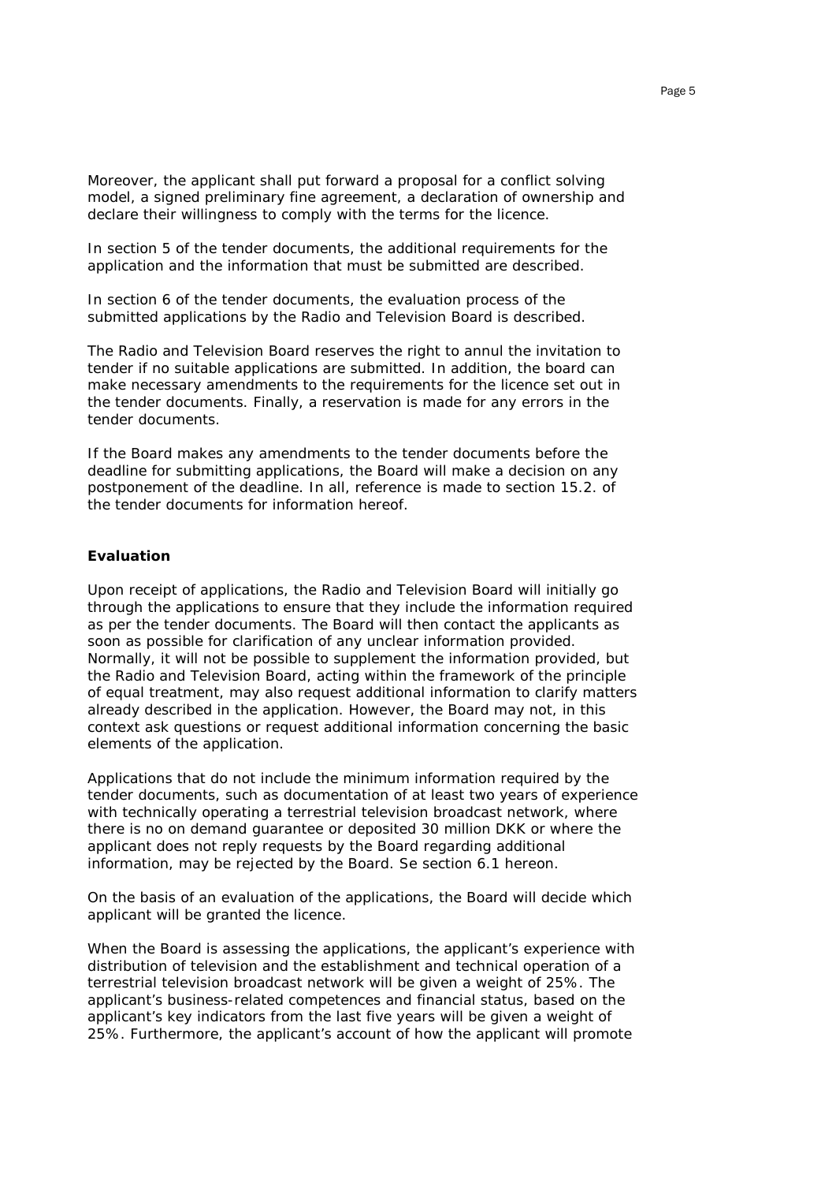Moreover, the applicant shall put forward a proposal for a conflict solving model, a signed preliminary fine agreement, a declaration of ownership and declare their willingness to comply with the terms for the licence.

In section 5 of the tender documents, the additional requirements for the application and the information that must be submitted are described.

In section 6 of the tender documents, the evaluation process of the submitted applications by the Radio and Television Board is described.

The Radio and Television Board reserves the right to annul the invitation to tender if no suitable applications are submitted. In addition, the board can make necessary amendments to the requirements for the licence set out in the tender documents. Finally, a reservation is made for any errors in the tender documents.

If the Board makes any amendments to the tender documents before the deadline for submitting applications, the Board will make a decision on any postponement of the deadline. In all, reference is made to section 15.2. of the tender documents for information hereof.

#### **Evaluation**

Upon receipt of applications, the Radio and Television Board will initially go through the applications to ensure that they include the information required as per the tender documents. The Board will then contact the applicants as soon as possible for clarification of any unclear information provided. Normally, it will not be possible to supplement the information provided, but the Radio and Television Board, acting within the framework of the principle of equal treatment, may also request additional information to clarify matters already described in the application. However, the Board may not, in this context ask questions or request additional information concerning the basic elements of the application.

Applications that do not include the minimum information required by the tender documents, such as documentation of at least two years of experience with technically operating a terrestrial television broadcast network, where there is no on demand guarantee or deposited 30 million DKK or where the applicant does not reply requests by the Board regarding additional information, may be rejected by the Board. Se section 6.1 hereon.

On the basis of an evaluation of the applications, the Board will decide which applicant will be granted the licence.

When the Board is assessing the applications, the applicant's experience with distribution of television and the establishment and technical operation of a terrestrial television broadcast network will be given a weight of 25%. The applicant's business-related competences and financial status, based on the applicant's key indicators from the last five years will be given a weight of 25%. Furthermore, the applicant's account of how the applicant will promote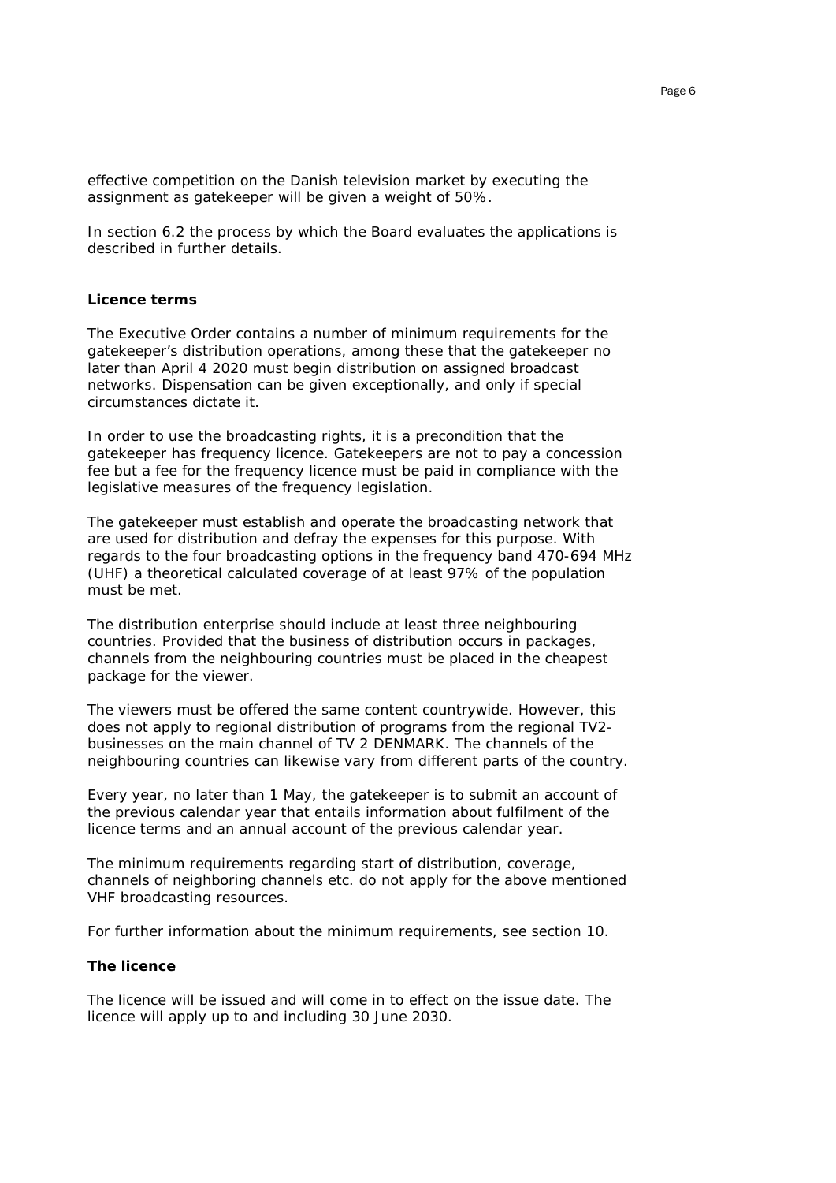effective competition on the Danish television market by executing the assignment as gatekeeper will be given a weight of 50%.

In section 6.2 the process by which the Board evaluates the applications is described in further details.

#### **Licence terms**

The Executive Order contains a number of minimum requirements for the gatekeeper's distribution operations, among these that the gatekeeper no later than April 4 2020 must begin distribution on assigned broadcast networks. Dispensation can be given exceptionally, and only if special circumstances dictate it.

In order to use the broadcasting rights, it is a precondition that the gatekeeper has frequency licence. Gatekeepers are not to pay a concession fee but a fee for the frequency licence must be paid in compliance with the legislative measures of the frequency legislation.

The gatekeeper must establish and operate the broadcasting network that are used for distribution and defray the expenses for this purpose. With regards to the four broadcasting options in the frequency band 470-694 MHz (UHF) a theoretical calculated coverage of at least 97% of the population must be met.

The distribution enterprise should include at least three neighbouring countries. Provided that the business of distribution occurs in packages, channels from the neighbouring countries must be placed in the cheapest package for the viewer.

The viewers must be offered the same content countrywide. However, this does not apply to regional distribution of programs from the regional TV2 businesses on the main channel of TV 2 DENMARK. The channels of the neighbouring countries can likewise vary from different parts of the country.

Every year, no later than 1 May, the gatekeeper is to submit an account of the previous calendar year that entails information about fulfilment of the licence terms and an annual account of the previous calendar year.

The minimum requirements regarding start of distribution, coverage, channels of neighboring channels etc. do not apply for the above mentioned VHF broadcasting resources.

For further information about the minimum requirements, see section 10.

#### **The licence**

The licence will be issued and will come in to effect on the issue date. The licence will apply up to and including 30 June 2030.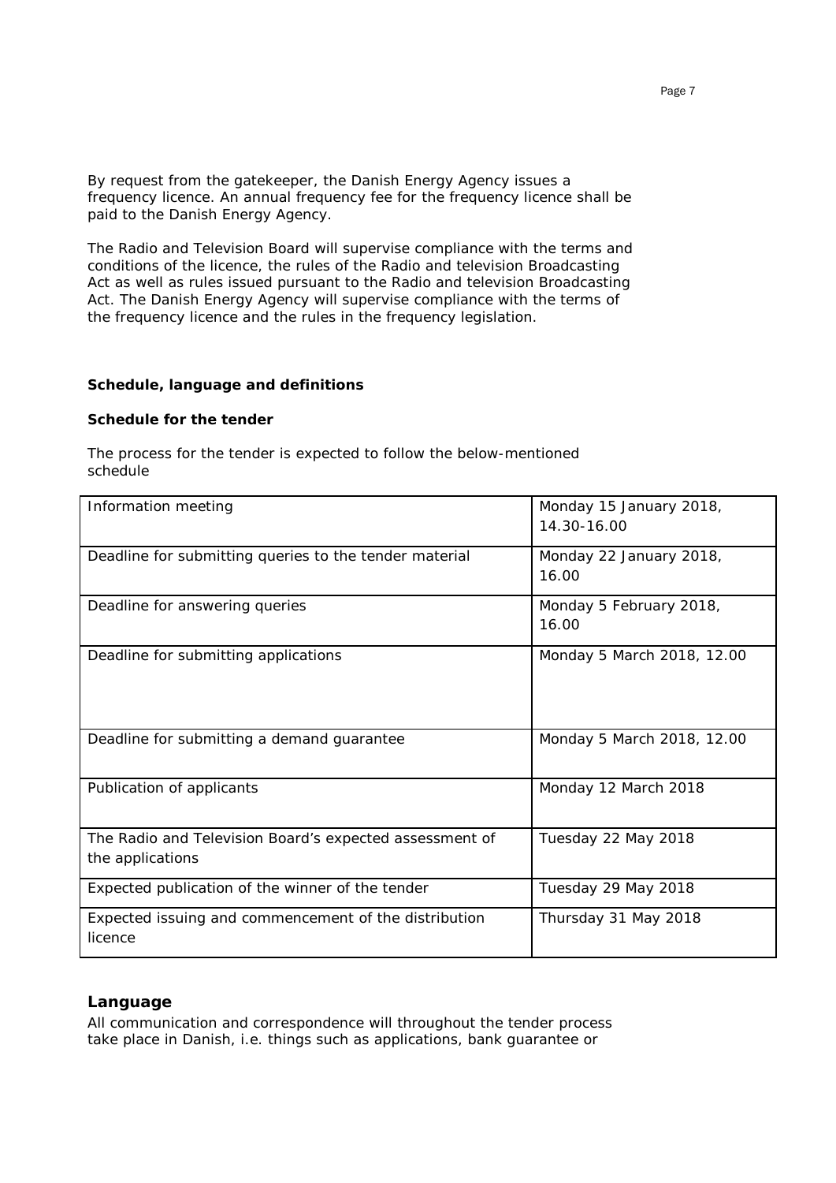By request from the gatekeeper, the Danish Energy Agency issues a frequency licence. An annual frequency fee for the frequency licence shall be paid to the Danish Energy Agency.

The Radio and Television Board will supervise compliance with the terms and conditions of the licence, the rules of the Radio and television Broadcasting Act as well as rules issued pursuant to the Radio and television Broadcasting Act. The Danish Energy Agency will supervise compliance with the terms of the frequency licence and the rules in the frequency legislation.

## **Schedule, language and definitions**

#### **Schedule for the tender**

The process for the tender is expected to follow the below-mentioned schedule

| Information meeting                                                         | Monday 15 January 2018,<br>14.30-16.00 |
|-----------------------------------------------------------------------------|----------------------------------------|
| Deadline for submitting queries to the tender material                      | Monday 22 January 2018,<br>16.00       |
| Deadline for answering queries                                              | Monday 5 February 2018,<br>16.00       |
| Deadline for submitting applications                                        | Monday 5 March 2018, 12.00             |
| Deadline for submitting a demand guarantee                                  | Monday 5 March 2018, 12.00             |
| Publication of applicants                                                   | Monday 12 March 2018                   |
| The Radio and Television Board's expected assessment of<br>the applications | Tuesday 22 May 2018                    |
| Expected publication of the winner of the tender                            | Tuesday 29 May 2018                    |
| Expected issuing and commencement of the distribution<br>licence            | Thursday 31 May 2018                   |

## **Language**

All communication and correspondence will throughout the tender process take place in Danish, i.e. things such as applications, bank guarantee or